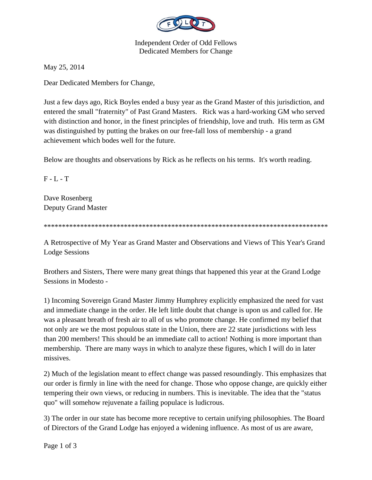

Independent Order of Odd Fellows Dedicated Members for Change

May 25, 2014

Dear Dedicated Members for Change,

Just a few days ago, Rick Boyles ended a busy year as the Grand Master of this jurisdiction, and entered the small "fraternity" of Past Grand Masters. Rick was a hard-working GM who served with distinction and honor, in the finest principles of friendship, love and truth. His term as GM was distinguished by putting the brakes on our free-fall loss of membership - a grand achievement which bodes well for the future.

Below are thoughts and observations by Rick as he reflects on his terms. It's worth reading.

 $F - L - T$ 

Dave Rosenberg Deputy Grand Master

\*\*\*\*\*\*\*\*\*\*\*\*\*\*\*\*\*\*\*\*\*\*\*\*\*\*\*\*\*\*\*\*\*\*\*\*\*\*\*\*\*\*\*\*\*\*\*\*\*\*\*\*\*\*\*\*\*\*\*\*\*\*\*\*\*\*\*\*\*\*\*\*\*\*\*\*\*\*

A Retrospective of My Year as Grand Master and Observations and Views of This Year's Grand Lodge Sessions

Brothers and Sisters, There were many great things that happened this year at the Grand Lodge Sessions in Modesto -

1) Incoming Sovereign Grand Master Jimmy Humphrey explicitly emphasized the need for vast and immediate change in the order. He left little doubt that change is upon us and called for. He was a pleasant breath of fresh air to all of us who promote change. He confirmed my belief that not only are we the most populous state in the Union, there are 22 state jurisdictions with less than 200 members! This should be an immediate call to action! Nothing is more important than membership. There are many ways in which to analyze these figures, which I will do in later missives.

2) Much of the legislation meant to effect change was passed resoundingly. This emphasizes that our order is firmly in line with the need for change. Those who oppose change, are quickly either tempering their own views, or reducing in numbers. This is inevitable. The idea that the "status quo" will somehow rejuvenate a failing populace is ludicrous.

3) The order in our state has become more receptive to certain unifying philosophies. The Board of Directors of the Grand Lodge has enjoyed a widening influence. As most of us are aware,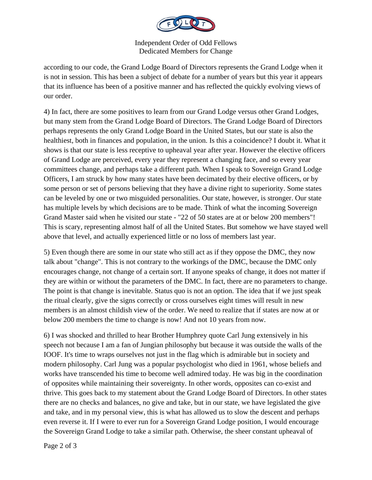

Independent Order of Odd Fellows Dedicated Members for Change

according to our code, the Grand Lodge Board of Directors represents the Grand Lodge when it is not in session. This has been a subject of debate for a number of years but this year it appears that its influence has been of a positive manner and has reflected the quickly evolving views of our order.

4) In fact, there are some positives to learn from our Grand Lodge versus other Grand Lodges, but many stem from the Grand Lodge Board of Directors. The Grand Lodge Board of Directors perhaps represents the only Grand Lodge Board in the United States, but our state is also the healthiest, both in finances and population, in the union. Is this a coincidence? I doubt it. What it shows is that our state is less receptive to upheaval year after year. However the elective officers of Grand Lodge are perceived, every year they represent a changing face, and so every year committees change, and perhaps take a different path. When I speak to Sovereign Grand Lodge Officers, I am struck by how many states have been decimated by their elective officers, or by some person or set of persons believing that they have a divine right to superiority. Some states can be leveled by one or two misguided personalities. Our state, however, is stronger. Our state has multiple levels by which decisions are to be made. Think of what the incoming Sovereign Grand Master said when he visited our state - "22 of 50 states are at or below 200 members"! This is scary, representing almost half of all the United States. But somehow we have stayed well above that level, and actually experienced little or no loss of members last year.

5) Even though there are some in our state who still act as if they oppose the DMC, they now talk about "change". This is not contrary to the workings of the DMC, because the DMC only encourages change, not change of a certain sort. If anyone speaks of change, it does not matter if they are within or without the parameters of the DMC. In fact, there are no parameters to change. The point is that change is inevitable. Status quo is not an option. The idea that if we just speak the ritual clearly, give the signs correctly or cross ourselves eight times will result in new members is an almost childish view of the order. We need to realize that if states are now at or below 200 members the time to change is now! And not 10 years from now.

6) I was shocked and thrilled to hear Brother Humphrey quote Carl Jung extensively in his speech not because I am a fan of Jungian philosophy but because it was outside the walls of the IOOF. It's time to wraps ourselves not just in the flag which is admirable but in society and modern philosophy. Carl Jung was a popular psychologist who died in 1961, whose beliefs and works have transcended his time to become well admired today. He was big in the coordination of opposites while maintaining their sovereignty. In other words, opposites can co-exist and thrive. This goes back to my statement about the Grand Lodge Board of Directors. In other states there are no checks and balances, no give and take, but in our state, we have legislated the give and take, and in my personal view, this is what has allowed us to slow the descent and perhaps even reverse it. If I were to ever run for a Sovereign Grand Lodge position, I would encourage the Sovereign Grand Lodge to take a similar path. Otherwise, the sheer constant upheaval of

Page 2 of 3